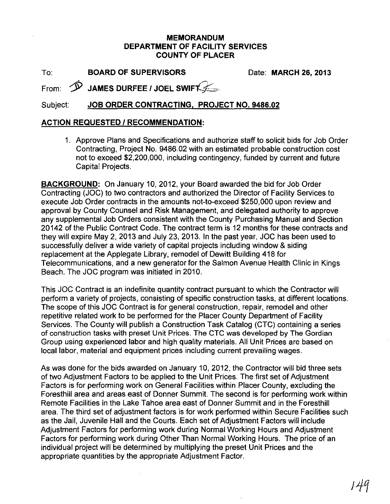## MEMORANDUM DEPARTMENT OF FACILITY SERVICES COUNTY OF PLACER

To: BOARD OF SUPERVISORS

Date: MARCH 26, 2013

From:  $\hat{\mathcal{P}}$  JAMES DURFEE / JOEL SWIFT

## Subject: JOB ORDER CONTRACTING, PROJECT NO. 9486.02

## ACTION REQUESTED / RECOMMENDATION:

1. Approve Plans and Specifications and authorize staff to solicit bids for Job Order Contracting, Project No. 9486.02 with an estimated probable construction cost not to exceed \$2,200,000, including contingency, funded by current and future Capital Projects.

BACKGROUND: On January 10, 2012, your Board awarded the bid for Job Order Contracting (JOC) to two contractors and authorized the Director of Facility Services to execute Job Order contracts in the amounts not-to-exceed \$250,000 upon review and approval by County Counsel and Risk Management, and delegated authority to approve any supplemental Job Orders consistent with the County Purchasing Manual and Section 20142 of the Public Contract Code. The contract term is 12 months for these contracts and they will expire May 2,2013 and July 23,2013. In the past year, JOC has been used to successfully deliver a wide variety of capital projects including window & siding replacement at the Applegate Library, remodel of Dewitt Building 418 for Telecommunications, and a new generator for the Salmon Avenue Health Clinic in Kings Beach. The JOC program was initiated in 2010.

This JOC Contract is an indefinite quantity contract pursuant to which the Contractor will perform a variety of projects, consisting of specific construction tasks, at different locations. The scope of this JOC Contract is for general construction, repair, remodel and other repetitive related work to be performed for the Placer County Department of Facility Services. The County will publish a Construction Task Catalog (CTC) containing a series of construction tasks with preset Unit Prices. The CTC was developed by The Gordian Group using experienced labor and high quality materials. All Unit Prices are based on local labor, material and equipment prices including current prevailing wages.

As was done for the bids awarded on January 10, 2012, the Contractor will bid three sets of two Adjustment Factors to be applied to the Unit Prices. The first set of Adjustment Factors is for performing work on General Facilities within Placer County, excluding the Foresthill area and areas east of Donner Summit. The second is for performing work within Remote Facilities in the Lake Tahoe area east of Donner Summit and in the Foresthill area. The third set of adjustment factors is for work performed within Secure Facilities such as the Jail, Juvenile Hall and the Courts. Each set of Adjustment Factors will include Adjustment Factors for performing work during Normal Working Hours and Adjustment Factors for performing work during Other Than Normal Working Hours. The price of an individual project will be determined by multiplying the preset Unit Prices and the appropriate quantities by the appropriate Adjustment Factor.